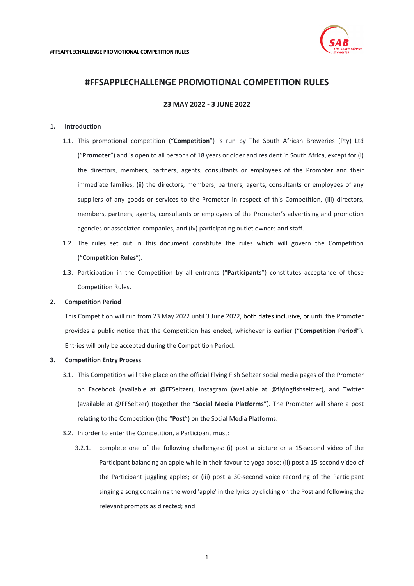

# **#FFSAPPLECHALLENGE PROMOTIONAL COMPETITION RULES**

**23 MAY 2022 - 3 JUNE 2022**

# <span id="page-0-0"></span>**1. Introduction**

- 1.1. This promotional competition ("**Competition**") is run by The South African Breweries (Pty) Ltd ("**Promoter**") and is open to all persons of 18 years or older and resident in South Africa, except for (i) the directors, members, partners, agents, consultants or employees of the Promoter and their immediate families, (ii) the directors, members, partners, agents, consultants or employees of any suppliers of any goods or services to the Promoter in respect of this Competition, (iii) directors, members, partners, agents, consultants or employees of the Promoter's advertising and promotion agencies or associated companies, and (iv) participating outlet owners and staff.
- 1.2. The rules set out in this document constitute the rules which will govern the Competition ("**Competition Rules**").
- 1.3. Participation in the Competition by all entrants ("**Participants**") constitutes acceptance of these Competition Rules.

# **2. Competition Period**

This Competition will run from 23 May 2022 until 3 June 2022, both dates inclusive, or until the Promoter provides a public notice that the Competition has ended, whichever is earlier ("**Competition Period**"). Entries will only be accepted during the Competition Period.

## **3. Competition Entry Process**

- 3.1. This Competition will take place on the official Flying Fish Seltzer social media pages of the Promoter on Facebook (available at @FFSeltzer), Instagram (available at @flyingfishseltzer), and Twitter (available at @FFSeltzer) (together the "**Social Media Platforms**"). The Promoter will share a post relating to the Competition (the "**Post**") on the Social Media Platforms.
- 3.2. In order to enter the Competition, a Participant must:
	- 3.2.1. complete one of the following challenges: (i) post a picture or a 15-second video of the Participant balancing an apple while in their favourite yoga pose; (ii) post a 15-second video of the Participant juggling apples; or (iii) post a 30-second voice recording of the Participant singing a song containing the word 'apple' in the lyrics by clicking on the Post and following the relevant prompts as directed; and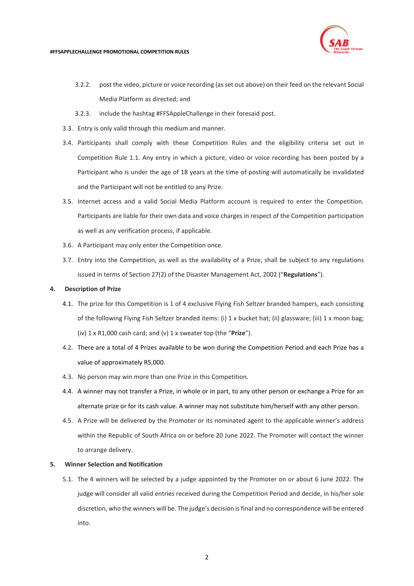

#### **#FFSAPPLECHALLENGE PROMOTIONAL COMPETITION RULES**

- 3.2.2. post the video, picture or voice recording (as set out above) on their feed on the relevant Social Media Platform as directed; and
- 3.2.3. include the hashtag #FFSAppleChallenge in their foresaid post.
- 3.3. Entry is only valid through this medium and manner.
- 3.4. Participants shall comply with these Competition Rules and the eligibility criteria set out in Competition Rule [1.1.](#page-0-0) Any entry in which a picture, video or voice recording has been posted by a Participant who is under the age of 18 years at the time of posting will automatically be invalidated and the Participant will not be entitled to any Prize.
- 3.5. Internet access and a valid Social Media Platform account is required to enter the Competition. Participants are liable for their own data and voice charges in respect of the Competition participation as well as any verification process, if applicable.
- 3.6. A Participant may only enter the Competition once.
- 3.7. Entry into the Competition, as well as the availability of a Prize, shall be subject to any regulations issued in terms of Section 27(2) of the Disaster Management Act, 2002 ("**Regulations**").

### **4. Description of Prize**

- 4.1. The prize for this Competition is 1 of 4 exclusive Flying Fish Seltzer branded hampers, each consisting of the following Flying Fish Seltzer branded items: (i) 1 x bucket hat; (ii) glassware; (iii) 1 x moon bag; (iv) 1 x R1,000 cash card; and (v) 1 x sweater top (the "**Prize**").
- 4.2. There are a total of 4 Prizes available to be won during the Competition Period and each Prize has a value of approximately R5,000.
- 4.3. No person may win more than one Prize in this Competition.
- 4.4. A winner may not transfer a Prize, in whole or in part, to any other person or exchange a Prize for an alternate prize or for its cash value. A winner may not substitute him/herself with any other person.
- 4.5. A Prize will be delivered by the Promoter or its nominated agent to the applicable winner's address within the Republic of South Africa on or before 20 June 2022. The Promoter will contact the winner to arrange delivery.

## **5. Winner Selection and Notification**

5.1. The 4 winners will be selected by a judge appointed by the Promoter on or about 6 June 2022. The judge will consider all valid entries received during the Competition Period and decide, in his/her sole discretion, who the winners will be. The judge's decision is final and no correspondence will be entered into.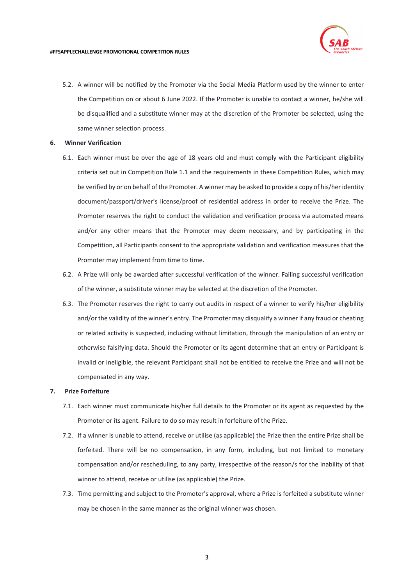

5.2. A winner will be notified by the Promoter via the Social Media Platform used by the winner to enter the Competition on or about 6 June 2022. If the Promoter is unable to contact a winner, he/she will be disqualified and a substitute winner may at the discretion of the Promoter be selected, using the same winner selection process.

## **6. Winner Verification**

- 6.1. Each winner must be over the age of 18 years old and must comply with the Participant eligibility criteria set out in Competition Rul[e 1.1](#page-0-0) and the requirements in these Competition Rules, which may be verified by or on behalf of the Promoter. A winner may be asked to provide a copy of his/her identity document/passport/driver's license/proof of residential address in order to receive the Prize. The Promoter reserves the right to conduct the validation and verification process via automated means and/or any other means that the Promoter may deem necessary, and by participating in the Competition, all Participants consent to the appropriate validation and verification measures that the Promoter may implement from time to time.
- 6.2. A Prize will only be awarded after successful verification of the winner. Failing successful verification of the winner, a substitute winner may be selected at the discretion of the Promoter.
- 6.3. The Promoter reserves the right to carry out audits in respect of a winner to verify his/her eligibility and/or the validity of the winner's entry. The Promoter may disqualify a winner if any fraud or cheating or related activity is suspected, including without limitation, through the manipulation of an entry or otherwise falsifying data. Should the Promoter or its agent determine that an entry or Participant is invalid or ineligible, the relevant Participant shall not be entitled to receive the Prize and will not be compensated in any way.

# **7. Prize Forfeiture**

- 7.1. Each winner must communicate his/her full details to the Promoter or its agent as requested by the Promoter or its agent. Failure to do so may result in forfeiture of the Prize.
- 7.2. If a winner is unable to attend, receive or utilise (as applicable) the Prize then the entire Prize shall be forfeited. There will be no compensation, in any form, including, but not limited to monetary compensation and/or rescheduling, to any party, irrespective of the reason/s for the inability of that winner to attend, receive or utilise (as applicable) the Prize.
- 7.3. Time permitting and subject to the Promoter's approval, where a Prize is forfeited a substitute winner may be chosen in the same manner as the original winner was chosen.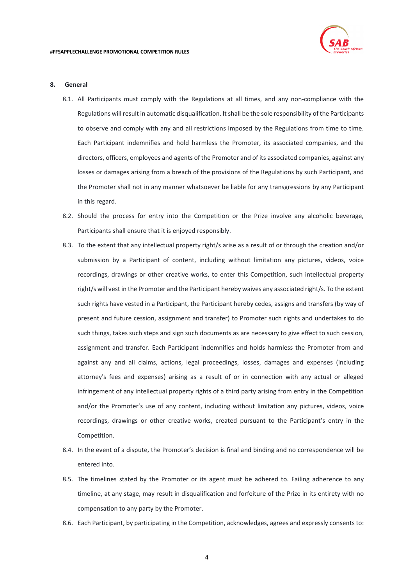#### **8. General**

- 8.1. All Participants must comply with the Regulations at all times, and any non-compliance with the Regulations will result in automatic disqualification. It shall be the sole responsibility of the Participants to observe and comply with any and all restrictions imposed by the Regulations from time to time. Each Participant indemnifies and hold harmless the Promoter, its associated companies, and the directors, officers, employees and agents of the Promoter and of its associated companies, against any losses or damages arising from a breach of the provisions of the Regulations by such Participant, and the Promoter shall not in any manner whatsoever be liable for any transgressions by any Participant in this regard.
- 8.2. Should the process for entry into the Competition or the Prize involve any alcoholic beverage, Participants shall ensure that it is enjoyed responsibly.
- 8.3. To the extent that any intellectual property right/s arise as a result of or through the creation and/or submission by a Participant of content, including without limitation any pictures, videos, voice recordings, drawings or other creative works, to enter this Competition, such intellectual property right/s will vest in the Promoter and the Participant hereby waives any associated right/s. To the extent such rights have vested in a Participant, the Participant hereby cedes, assigns and transfers (by way of present and future cession, assignment and transfer) to Promoter such rights and undertakes to do such things, takes such steps and sign such documents as are necessary to give effect to such cession, assignment and transfer. Each Participant indemnifies and holds harmless the Promoter from and against any and all claims, actions, legal proceedings, losses, damages and expenses (including attorney's fees and expenses) arising as a result of or in connection with any actual or alleged infringement of any intellectual property rights of a third party arising from entry in the Competition and/or the Promoter's use of any content, including without limitation any pictures, videos, voice recordings, drawings or other creative works, created pursuant to the Participant's entry in the Competition.
- 8.4. In the event of a dispute, the Promoter's decision is final and binding and no correspondence will be entered into.
- 8.5. The timelines stated by the Promoter or its agent must be adhered to. Failing adherence to any timeline, at any stage, may result in disqualification and forfeiture of the Prize in its entirety with no compensation to any party by the Promoter.
- <span id="page-3-0"></span>8.6. Each Participant, by participating in the Competition, acknowledges, agrees and expressly consents to: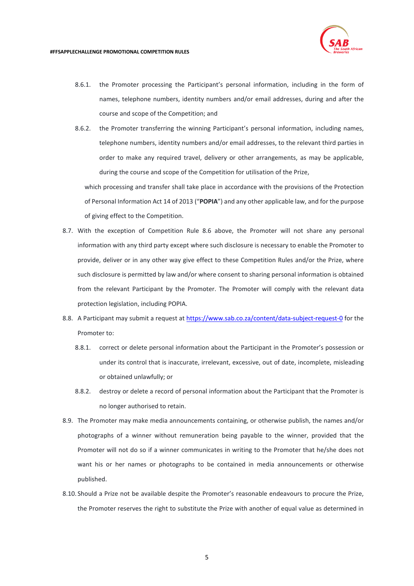

8.6.1. the Promoter processing the Participant's personal information, including in the form of names, telephone numbers, identity numbers and/or email addresses, during and after the course and scope of the Competition; and

8.6.2. the Promoter transferring the winning Participant's personal information, including names, telephone numbers, identity numbers and/or email addresses, to the relevant third parties in order to make any required travel, delivery or other arrangements, as may be applicable, during the course and scope of the Competition for utilisation of the Prize,

which processing and transfer shall take place in accordance with the provisions of the Protection of Personal Information Act 14 of 2013 ("**POPIA**") and any other applicable law, and for the purpose of giving effect to the Competition.

- 8.7. With the exception of Competition Rule [8.6](#page-3-0) above, the Promoter will not share any personal information with any third party except where such disclosure is necessary to enable the Promoter to provide, deliver or in any other way give effect to these Competition Rules and/or the Prize, where such disclosure is permitted by law and/or where consent to sharing personal information is obtained from the relevant Participant by the Promoter. The Promoter will comply with the relevant data protection legislation, including POPIA.
- 8.8. A Participant may submit a request at<https://www.sab.co.za/content/data-subject-request-0> for the Promoter to:
	- 8.8.1. correct or delete personal information about the Participant in the Promoter's possession or under its control that is inaccurate, irrelevant, excessive, out of date, incomplete, misleading or obtained unlawfully; or
	- 8.8.2. destroy or delete a record of personal information about the Participant that the Promoter is no longer authorised to retain.
- 8.9. The Promoter may make media announcements containing, or otherwise publish, the names and/or photographs of a winner without remuneration being payable to the winner, provided that the Promoter will not do so if a winner communicates in writing to the Promoter that he/she does not want his or her names or photographs to be contained in media announcements or otherwise published.
- 8.10. Should a Prize not be available despite the Promoter's reasonable endeavours to procure the Prize, the Promoter reserves the right to substitute the Prize with another of equal value as determined in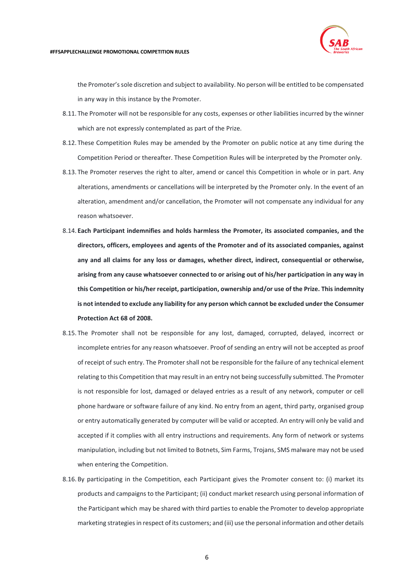

#### **#FFSAPPLECHALLENGE PROMOTIONAL COMPETITION RULES**

the Promoter's sole discretion and subject to availability. No person will be entitled to be compensated in any way in this instance by the Promoter.

- 8.11. The Promoter will not be responsible for any costs, expenses or other liabilities incurred by the winner which are not expressly contemplated as part of the Prize.
- 8.12. These Competition Rules may be amended by the Promoter on public notice at any time during the Competition Period or thereafter. These Competition Rules will be interpreted by the Promoter only.
- 8.13. The Promoter reserves the right to alter, amend or cancel this Competition in whole or in part. Any alterations, amendments or cancellations will be interpreted by the Promoter only. In the event of an alteration, amendment and/or cancellation, the Promoter will not compensate any individual for any reason whatsoever.
- 8.14. **Each Participant indemnifies and holds harmless the Promoter, its associated companies, and the directors, officers, employees and agents of the Promoter and of its associated companies, against any and all claims for any loss or damages, whether direct, indirect, consequential or otherwise, arising from any cause whatsoever connected to or arising out of his/her participation in any way in this Competition or his/her receipt, participation, ownership and/or use of the Prize. This indemnity is not intended to exclude any liability for any person which cannot be excluded under the Consumer Protection Act 68 of 2008.**
- 8.15. The Promoter shall not be responsible for any lost, damaged, corrupted, delayed, incorrect or incomplete entries for any reason whatsoever. Proof of sending an entry will not be accepted as proof of receipt of such entry. The Promoter shall not be responsible for the failure of any technical element relating to this Competition that may result in an entry not being successfully submitted. The Promoter is not responsible for lost, damaged or delayed entries as a result of any network, computer or cell phone hardware or software failure of any kind. No entry from an agent, third party, organised group or entry automatically generated by computer will be valid or accepted. An entry will only be valid and accepted if it complies with all entry instructions and requirements. Any form of network or systems manipulation, including but not limited to Botnets, Sim Farms, Trojans, SMS malware may not be used when entering the Competition.
- 8.16. By participating in the Competition, each Participant gives the Promoter consent to: (i) market its products and campaigns to the Participant; (ii) conduct market research using personal information of the Participant which may be shared with third parties to enable the Promoter to develop appropriate marketing strategies in respect of its customers; and (iii) use the personal information and other details